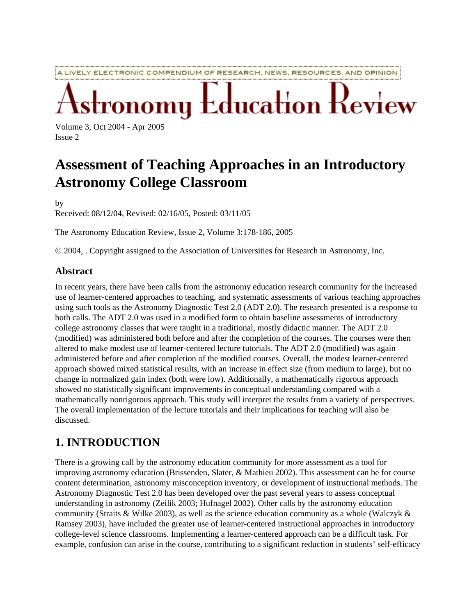A LIVELY ELECTRONIC COMPENDIUM OF RESEARCH, NEWS, RESOURCES, AND OPINION

**Education Review** omų

Volume 3, Oct 2004 - Apr 2005 Issue 2

# **Assessment of Teaching Approaches in an Introductory Astronomy College Classroom**

by

Received: 08/12/04, Revised: 02/16/05, Posted: 03/11/05

The Astronomy Education Review, Issue 2, Volume 3:178-186, 2005

© 2004, . Copyright assigned to the Association of Universities for Research in Astronomy, Inc.

#### **Abstract**

In recent years, there have been calls from the astronomy education research community for the increased use of learner-centered approaches to teaching, and systematic assessments of various teaching approaches using such tools as the Astronomy Diagnostic Test 2.0 (ADT 2.0). The research presented is a response to both calls. The ADT 2.0 was used in a modified form to obtain baseline assessments of introductory college astronomy classes that were taught in a traditional, mostly didactic manner. The ADT 2.0 (modified) was administered both before and after the completion of the courses. The courses were then altered to make modest use of learner-centered lecture tutorials. The ADT 2.0 (modified) was again administered before and after completion of the modified courses. Overall, the modest learner-centered approach showed mixed statistical results, with an increase in effect size (from medium to large), but no change in normalized gain index (both were low). Additionally, a mathematically rigorous approach showed no statistically significant improvements in conceptual understanding compared with a mathematically nonrigorous approach. This study will interpret the results from a variety of perspectives. The overall implementation of the lecture tutorials and their implications for teaching will also be discussed.

#### **1. INTRODUCTION**

There is a growing call by the astronomy education community for more assessment as a tool for improving astronomy education (Brissenden, Slater, & Mathieu 2002). This assessment can be for course content determination, astronomy misconception inventory, or development of instructional methods. The Astronomy Diagnostic Test 2.0 has been developed over the past several years to assess conceptual understanding in astronomy (Zeilik 2003; Hufnagel 2002). Other calls by the astronomy education community (Straits & Wilke 2003), as well as the science education community as a whole (Walczyk  $\&$ Ramsey 2003), have included the greater use of learner-centered instructional approaches in introductory college-level science classrooms. Implementing a learner-centered approach can be a difficult task. For example, confusion can arise in the course, contributing to a significant reduction in students' self-efficacy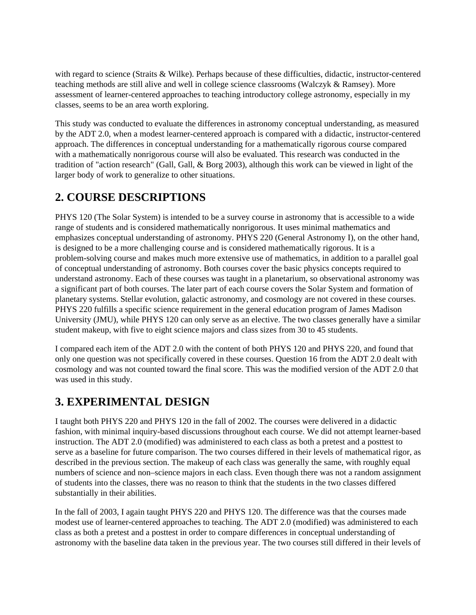with regard to science (Straits & Wilke). Perhaps because of these difficulties, didactic, instructor-centered teaching methods are still alive and well in college science classrooms (Walczyk & Ramsey). More assessment of learner-centered approaches to teaching introductory college astronomy, especially in my classes, seems to be an area worth exploring.

This study was conducted to evaluate the differences in astronomy conceptual understanding, as measured by the ADT 2.0, when a modest learner-centered approach is compared with a didactic, instructor-centered approach. The differences in conceptual understanding for a mathematically rigorous course compared with a mathematically nonrigorous course will also be evaluated. This research was conducted in the tradition of "action research" (Gall, Gall, & Borg 2003), although this work can be viewed in light of the larger body of work to generalize to other situations.

# **2. COURSE DESCRIPTIONS**

PHYS 120 (The Solar System) is intended to be a survey course in astronomy that is accessible to a wide range of students and is considered mathematically nonrigorous. It uses minimal mathematics and emphasizes conceptual understanding of astronomy. PHYS 220 (General Astronomy I), on the other hand, is designed to be a more challenging course and is considered mathematically rigorous. It is a problem-solving course and makes much more extensive use of mathematics, in addition to a parallel goal of conceptual understanding of astronomy. Both courses cover the basic physics concepts required to understand astronomy. Each of these courses was taught in a planetarium, so observational astronomy was a significant part of both courses. The later part of each course covers the Solar System and formation of planetary systems. Stellar evolution, galactic astronomy, and cosmology are not covered in these courses. PHYS 220 fulfills a specific science requirement in the general education program of James Madison University (JMU), while PHYS 120 can only serve as an elective. The two classes generally have a similar student makeup, with five to eight science majors and class sizes from 30 to 45 students.

I compared each item of the ADT 2.0 with the content of both PHYS 120 and PHYS 220, and found that only one question was not specifically covered in these courses. Question 16 from the ADT 2.0 dealt with cosmology and was not counted toward the final score. This was the modified version of the ADT 2.0 that was used in this study.

# **3. EXPERIMENTAL DESIGN**

I taught both PHYS 220 and PHYS 120 in the fall of 2002. The courses were delivered in a didactic fashion, with minimal inquiry-based discussions throughout each course. We did not attempt learner-based instruction. The ADT 2.0 (modified) was administered to each class as both a pretest and a posttest to serve as a baseline for future comparison. The two courses differed in their levels of mathematical rigor, as described in the previous section. The makeup of each class was generally the same, with roughly equal numbers of science and non–science majors in each class. Even though there was not a random assignment of students into the classes, there was no reason to think that the students in the two classes differed substantially in their abilities.

In the fall of 2003, I again taught PHYS 220 and PHYS 120. The difference was that the courses made modest use of learner-centered approaches to teaching. The ADT 2.0 (modified) was administered to each class as both a pretest and a posttest in order to compare differences in conceptual understanding of astronomy with the baseline data taken in the previous year. The two courses still differed in their levels of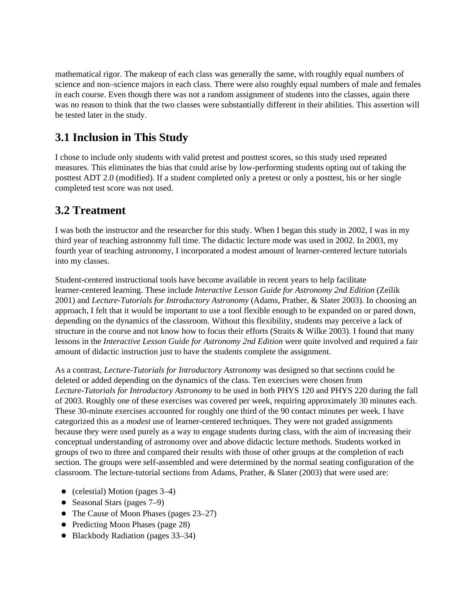mathematical rigor. The makeup of each class was generally the same, with roughly equal numbers of science and non–science majors in each class. There were also roughly equal numbers of male and females in each course. Even though there was not a random assignment of students into the classes, again there was no reason to think that the two classes were substantially different in their abilities. This assertion will be tested later in the study.

### **3.1 Inclusion in This Study**

I chose to include only students with valid pretest and posttest scores, so this study used repeated measures. This eliminates the bias that could arise by low-performing students opting out of taking the posttest ADT 2.0 (modified). If a student completed only a pretest or only a posttest, his or her single completed test score was not used.

#### **3.2 Treatment**

I was both the instructor and the researcher for this study. When I began this study in 2002, I was in my third year of teaching astronomy full time. The didactic lecture mode was used in 2002. In 2003, my fourth year of teaching astronomy, I incorporated a modest amount of learner-centered lecture tutorials into my classes.

Student-centered instructional tools have become available in recent years to help facilitate learner-centered learning. These include *Interactive Lesson Guide for Astronomy 2nd Edition* (Zeilik 2001) and *Lecture-Tutorials for Introductory Astronomy* (Adams, Prather, & Slater 2003). In choosing an approach, I felt that it would be important to use a tool flexible enough to be expanded on or pared down, depending on the dynamics of the classroom. Without this flexibility, students may perceive a lack of structure in the course and not know how to focus their efforts (Straits & Wilke 2003). I found that many lessons in the *Interactive Lesson Guide for Astronomy 2nd Edition* were quite involved and required a fair amount of didactic instruction just to have the students complete the assignment.

As a contrast, *Lecture-Tutorials for Introductory Astronomy* was designed so that sections could be deleted or added depending on the dynamics of the class. Ten exercises were chosen from *Lecture-Tutorials for Introductory Astronomy* to be used in both PHYS 120 and PHYS 220 during the fall of 2003. Roughly one of these exercises was covered per week, requiring approximately 30 minutes each. These 30-minute exercises accounted for roughly one third of the 90 contact minutes per week. I have categorized this as a *modest* use of learner-centered techniques. They were not graded assignments because they were used purely as a way to engage students during class, with the aim of increasing their conceptual understanding of astronomy over and above didactic lecture methods. Students worked in groups of two to three and compared their results with those of other groups at the completion of each section. The groups were self-assembled and were determined by the normal seating configuration of the classroom. The lecture-tutorial sections from Adams, Prather, & Slater (2003) that were used are:

- (celestial) Motion (pages  $3-4$ )
- Seasonal Stars (pages 7–9)
- The Cause of Moon Phases (pages 23–27)
- Predicting Moon Phases (page 28)
- Blackbody Radiation (pages 33–34)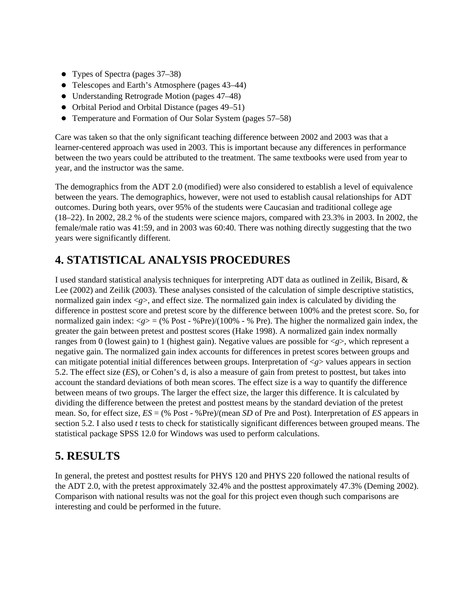- Types of Spectra (pages 37–38)
- Telescopes and Earth's Atmosphere (pages 43–44)
- Understanding Retrograde Motion (pages 47–48)
- Orbital Period and Orbital Distance (pages 49–51)
- Temperature and Formation of Our Solar System (pages 57–58)

Care was taken so that the only significant teaching difference between 2002 and 2003 was that a learner-centered approach was used in 2003. This is important because any differences in performance between the two years could be attributed to the treatment. The same textbooks were used from year to year, and the instructor was the same.

The demographics from the ADT 2.0 (modified) were also considered to establish a level of equivalence between the years. The demographics, however, were not used to establish causal relationships for ADT outcomes. During both years, over 95% of the students were Caucasian and traditional college age (18–22). In 2002, 28.2 % of the students were science majors, compared with 23.3% in 2003. In 2002, the female/male ratio was 41:59, and in 2003 was 60:40. There was nothing directly suggesting that the two years were significantly different.

# **4. STATISTICAL ANALYSIS PROCEDURES**

I used standard statistical analysis techniques for interpreting ADT data as outlined in Zeilik, Bisard, & Lee (2002) and Zeilik (2003). These analyses consisted of the calculation of simple descriptive statistics, normalized gain index  $\langle g \rangle$ , and effect size. The normalized gain index is calculated by dividing the difference in posttest score and pretest score by the difference between 100% and the pretest score. So, for normalized gain index:  $\langle g \rangle = (% Post - % Pre)/(100\% - % Pre)$ . The higher the normalized gain index, the greater the gain between pretest and posttest scores (Hake 1998). A normalized gain index normally ranges from 0 (lowest gain) to 1 (highest gain). Negative values are possible for <*g*>, which represent a negative gain. The normalized gain index accounts for differences in pretest scores between groups and can mitigate potential initial differences between groups. Interpretation of <*g*> values appears in section 5.2. The effect size (*ES*), or Cohen's d, is also a measure of gain from pretest to posttest, but takes into account the standard deviations of both mean scores. The effect size is a way to quantify the difference between means of two groups. The larger the effect size, the larger this difference. It is calculated by dividing the difference between the pretest and posttest means by the standard deviation of the pretest mean. So, for effect size, *ES* = (% Post - %Pre)/(mean *SD* of Pre and Post). Interpretation of *ES* appears in section 5.2. I also used *t* tests to check for statistically significant differences between grouped means. The statistical package SPSS 12.0 for Windows was used to perform calculations.

# **5. RESULTS**

In general, the pretest and posttest results for PHYS 120 and PHYS 220 followed the national results of the ADT 2.0, with the pretest approximately 32.4% and the posttest approximately 47.3% (Deming 2002). Comparison with national results was not the goal for this project even though such comparisons are interesting and could be performed in the future.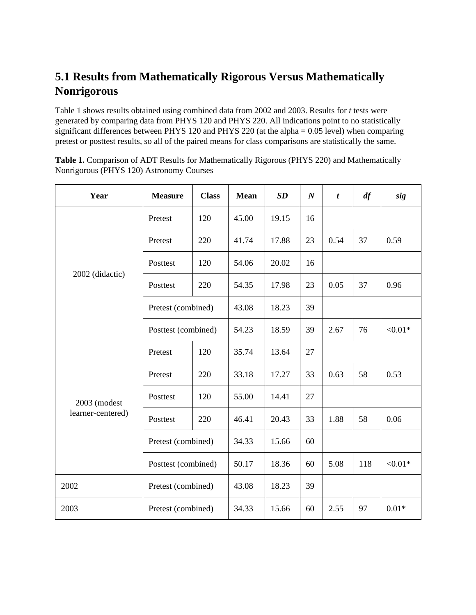# **5.1 Results from Mathematically Rigorous Versus Mathematically Nonrigorous**

Table 1 shows results obtained using combined data from 2002 and 2003. Results for *t* tests were generated by comparing data from PHYS 120 and PHYS 220. All indications point to no statistically significant differences between PHYS 120 and PHYS 220 (at the alpha = 0.05 level) when comparing pretest or posttest results, so all of the paired means for class comparisons are statistically the same.

**Table 1.** Comparison of ADT Results for Mathematically Rigorous (PHYS 220) and Mathematically Nonrigorous (PHYS 120) Astronomy Courses

| Year                              | <b>Measure</b>      | <b>Class</b> | <b>Mean</b> | SD    | $\boldsymbol{N}$ | $\boldsymbol{t}$ | df  | sig        |
|-----------------------------------|---------------------|--------------|-------------|-------|------------------|------------------|-----|------------|
| 2002 (didactic)                   | Pretest             | 120          | 45.00       | 19.15 | 16               |                  |     |            |
|                                   | Pretest             | 220          | 41.74       | 17.88 | 23               | 0.54             | 37  | 0.59       |
|                                   | Posttest            | 120          | 54.06       | 20.02 | 16               |                  |     |            |
|                                   | Posttest            | 220          | 54.35       | 17.98 | 23               | 0.05             | 37  | 0.96       |
|                                   | Pretest (combined)  |              | 43.08       | 18.23 | 39               |                  |     |            |
|                                   | Posttest (combined) |              | 54.23       | 18.59 | 39               | 2.67             | 76  | ${<}0.01*$ |
| 2003 (modest<br>learner-centered) | Pretest             | 120          | 35.74       | 13.64 | 27               |                  |     |            |
|                                   | Pretest             | 220          | 33.18       | 17.27 | 33               | 0.63             | 58  | 0.53       |
|                                   | Posttest            | 120          | 55.00       | 14.41 | 27               |                  |     |            |
|                                   | Posttest            | 220          | 46.41       | 20.43 | 33               | 1.88             | 58  | 0.06       |
|                                   | Pretest (combined)  |              | 34.33       | 15.66 | 60               |                  |     |            |
|                                   | Posttest (combined) |              | 50.17       | 18.36 | 60               | 5.08             | 118 | ${<}0.01*$ |
| 2002                              | Pretest (combined)  |              | 43.08       | 18.23 | 39               |                  |     |            |
| 2003                              | Pretest (combined)  |              | 34.33       | 15.66 | 60               | 2.55             | 97  | $0.01*$    |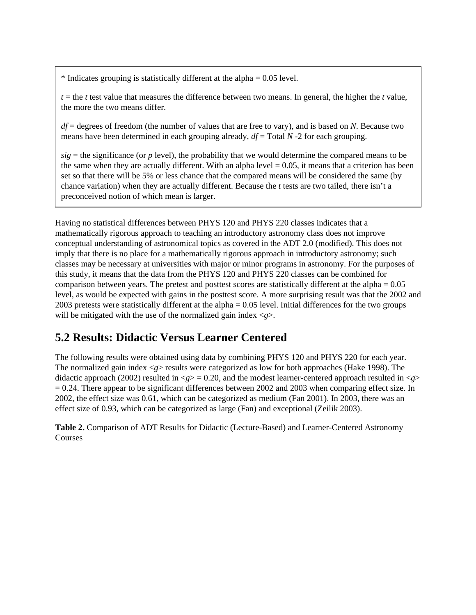$*$  Indicates grouping is statistically different at the alpha  $= 0.05$  level.

 $t =$  the *t* test value that measures the difference between two means. In general, the higher the *t* value, the more the two means differ.

*df* = degrees of freedom (the number of values that are free to vary), and is based on *N*. Because two means have been determined in each grouping already,  $df = \text{Total } N$  -2 for each grouping.

 $sig =$  the significance (or *p* level), the probability that we would determine the compared means to be the same when they are actually different. With an alpha level  $= 0.05$ , it means that a criterion has been set so that there will be 5% or less chance that the compared means will be considered the same (by chance variation) when they are actually different. Because the *t* tests are two tailed, there isn't a preconceived notion of which mean is larger.

Having no statistical differences between PHYS 120 and PHYS 220 classes indicates that a mathematically rigorous approach to teaching an introductory astronomy class does not improve conceptual understanding of astronomical topics as covered in the ADT 2.0 (modified). This does not imply that there is no place for a mathematically rigorous approach in introductory astronomy; such classes may be necessary at universities with major or minor programs in astronomy. For the purposes of this study, it means that the data from the PHYS 120 and PHYS 220 classes can be combined for comparison between years. The pretest and posttest scores are statistically different at the alpha = 0.05 level, as would be expected with gains in the posttest score. A more surprising result was that the 2002 and 2003 pretests were statistically different at the alpha = 0.05 level. Initial differences for the two groups will be mitigated with the use of the normalized gain index  $\langle g \rangle$ .

#### **5.2 Results: Didactic Versus Learner Centered**

The following results were obtained using data by combining PHYS 120 and PHYS 220 for each year. The normalized gain index <*g*> results were categorized as low for both approaches (Hake 1998). The didactic approach (2002) resulted in  $\langle g \rangle = 0.20$ , and the modest learner-centered approach resulted in  $\langle g \rangle$  $= 0.24$ . There appear to be significant differences between 2002 and 2003 when comparing effect size. In 2002, the effect size was 0.61, which can be categorized as medium (Fan 2001). In 2003, there was an effect size of 0.93, which can be categorized as large (Fan) and exceptional (Zeilik 2003).

**Table 2.** Comparison of ADT Results for Didactic (Lecture-Based) and Learner-Centered Astronomy Courses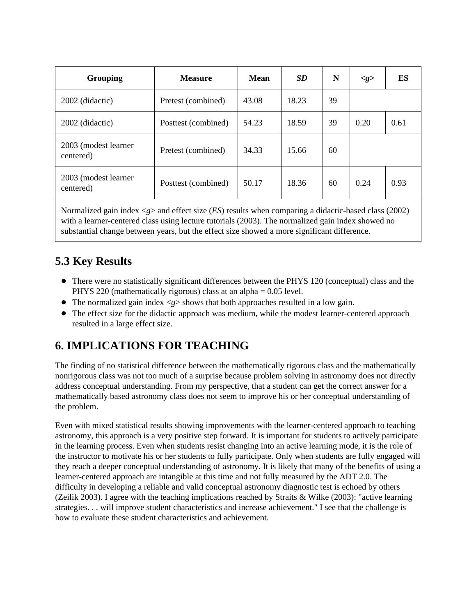| Grouping                          | <b>Measure</b>      | Mean  | SD    | N  | $\llg$ | ES   |
|-----------------------------------|---------------------|-------|-------|----|--------|------|
| 2002 (didactic)                   | Pretest (combined)  | 43.08 | 18.23 | 39 |        |      |
| 2002 (didactic)                   | Posttest (combined) | 54.23 | 18.59 | 39 | 0.20   | 0.61 |
| 2003 (modest learner<br>centered) | Pretest (combined)  | 34.33 | 15.66 | 60 |        |      |
| 2003 (modest learner<br>centered) | Posttest (combined) | 50.17 | 18.36 | 60 | 0.24   | 0.93 |

Normalized gain index <*g*> and effect size (*ES*) results when comparing a didactic-based class (2002) with a learner-centered class using lecture tutorials (2003). The normalized gain index showed no substantial change between years, but the effect size showed a more significant difference.

#### **5.3 Key Results**

- There were no statistically significant differences between the PHYS 120 (conceptual) class and the PHYS 220 (mathematically rigorous) class at an alpha = 0.05 level.
- $\bullet$  The normalized gain index  $\langle g \rangle$  shows that both approaches resulted in a low gain.
- The effect size for the didactic approach was medium, while the modest learner-centered approach resulted in a large effect size.

# **6. IMPLICATIONS FOR TEACHING**

The finding of no statistical difference between the mathematically rigorous class and the mathematically nonrigorous class was not too much of a surprise because problem solving in astronomy does not directly address conceptual understanding. From my perspective, that a student can get the correct answer for a mathematically based astronomy class does not seem to improve his or her conceptual understanding of the problem.

Even with mixed statistical results showing improvements with the learner-centered approach to teaching astronomy, this approach is a very positive step forward. It is important for students to actively participate in the learning process. Even when students resist changing into an active learning mode, it is the role of the instructor to motivate his or her students to fully participate. Only when students are fully engaged will they reach a deeper conceptual understanding of astronomy. It is likely that many of the benefits of using a learner-centered approach are intangible at this time and not fully measured by the ADT 2.0. The difficulty in developing a reliable and valid conceptual astronomy diagnostic test is echoed by others (Zeilik 2003). I agree with the teaching implications reached by Straits & Wilke (2003): "active learning strategies. . . will improve student characteristics and increase achievement." I see that the challenge is how to evaluate these student characteristics and achievement.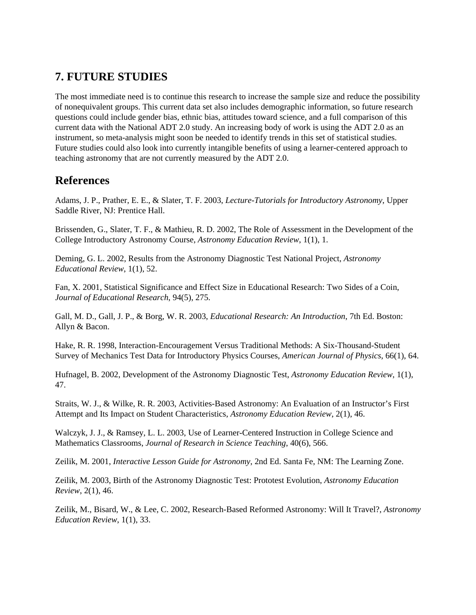#### **7. FUTURE STUDIES**

The most immediate need is to continue this research to increase the sample size and reduce the possibility of nonequivalent groups. This current data set also includes demographic information, so future research questions could include gender bias, ethnic bias, attitudes toward science, and a full comparison of this current data with the National ADT 2.0 study. An increasing body of work is using the ADT 2.0 as an instrument, so meta-analysis might soon be needed to identify trends in this set of statistical studies. Future studies could also look into currently intangible benefits of using a learner-centered approach to teaching astronomy that are not currently measured by the ADT 2.0.

#### **References**

Adams, J. P., Prather, E. E., & Slater, T. F. 2003, *Lecture-Tutorials for Introductory Astronomy*, Upper Saddle River, NJ: Prentice Hall.

Brissenden, G., Slater, T. F., & Mathieu, R. D. 2002, The Role of Assessment in the Development of the College Introductory Astronomy Course, *Astronomy Education Review*, 1(1), 1.

Deming, G. L. 2002, Results from the Astronomy Diagnostic Test National Project, *Astronomy Educational Review*, 1(1), 52.

Fan, X. 2001, Statistical Significance and Effect Size in Educational Research: Two Sides of a Coin, *Journal of Educational Research*, 94(5), 275.

Gall, M. D., Gall, J. P., & Borg, W. R. 2003, *Educational Research: An Introduction*, 7th Ed. Boston: Allyn & Bacon.

Hake, R. R. 1998, Interaction-Encouragement Versus Traditional Methods: A Six-Thousand-Student Survey of Mechanics Test Data for Introductory Physics Courses, *American Journal of Physics*, 66(1), 64.

Hufnagel, B. 2002, Development of the Astronomy Diagnostic Test, *Astronomy Education Review*, 1(1), 47.

Straits, W. J., & Wilke, R. R. 2003, Activities-Based Astronomy: An Evaluation of an Instructor's First Attempt and Its Impact on Student Characteristics, *Astronomy Education Review*, 2(1), 46.

Walczyk, J. J., & Ramsey, L. L. 2003, Use of Learner-Centered Instruction in College Science and Mathematics Classrooms, *Journal of Research in Science Teaching*, 40(6), 566.

Zeilik, M. 2001, *Interactive Lesson Guide for Astronomy*, 2nd Ed. Santa Fe, NM: The Learning Zone.

Zeilik, M. 2003, Birth of the Astronomy Diagnostic Test: Prototest Evolution, *Astronomy Education Review*, 2(1), 46.

Zeilik, M., Bisard, W., & Lee, C. 2002, Research-Based Reformed Astronomy: Will It Travel?, *Astronomy Education Review*, 1(1), 33.